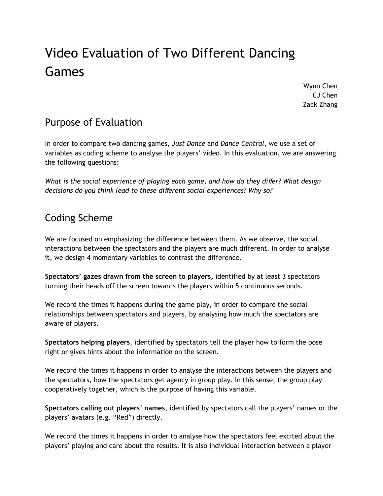# Video Evaluation of Two Different Dancing Games

Wynn Chen CJ Chen Zack Zhang

# Purpose of Evaluation

In order to compare two dancing games, *Just Dance* and *Dance Central*, we use a set of variables as coding scheme to analyse the players' video. In this evaluation, we are answering the following questions:

*What is the social experience of playing each game, and how do they di*ff*er? What design decisions do you think lead to these di*ff*erent social experiences? Why so?*

# Coding Scheme

We are focused on emphasizing the difference between them. As we observe, the social interactions between the spectators and the players are much different. In order to analyse it, we design 4 momentary variables to contrast the difference.

**Spectators' gazes drawn from the screen to players,** identified by at least 3 spectators turning their heads off the screen towards the players within 5 continuous seconds.

We record the times it happens during the game play, in order to compare the social relationships between spectators and players, by analysing how much the spectators are aware of players.

**Spectators helping players**, identified by spectators tell the player how to form the pose right or gives hints about the information on the screen.

We record the times it happens in order to analyse the interactions between the players and the spectators, how the spectators get agency in group play. In this sense, the group play cooperatively together, which is the purpose of having this variable.

**Spectators calling out players' names**, identified by spectators call the players' names or the players' avatars (e.g. "Red") directly.

We record the times it happens in order to analyse how the spectators feel excited about the players' playing and care about the results. It is also individual interaction between a player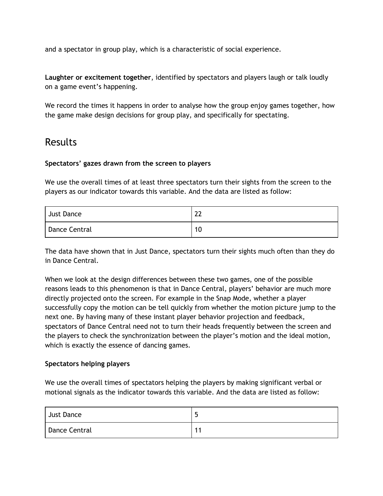and a spectator in group play, which is a characteristic of social experience.

**Laughter or excitement together**, identified by spectators and players laugh or talk loudly on a game event's happening.

We record the times it happens in order to analyse how the group enjoy games together, how the game make design decisions for group play, and specifically for spectating.

### Results

#### **Spectators' gazes drawn from the screen to players**

We use the overall times of at least three spectators turn their sights from the screen to the players as our indicator towards this variable. And the data are listed as follow:

| Just Dance    | ົາາ<br>∠∠ |
|---------------|-----------|
| Dance Central | 10        |

The data have shown that in Just Dance, spectators turn their sights much often than they do in Dance Central.

When we look at the design differences between these two games, one of the possible reasons leads to this phenomenon is that in Dance Central, players' behavior are much more directly projected onto the screen. For example in the Snap Mode, whether a player successfully copy the motion can be tell quickly from whether the motion picture jump to the next one. By having many of these instant player behavior projection and feedback, spectators of Dance Central need not to turn their heads frequently between the screen and the players to check the synchronization between the player's motion and the ideal motion, which is exactly the essence of dancing games.

#### **Spectators helping players**

We use the overall times of spectators helping the players by making significant verbal or motional signals as the indicator towards this variable. And the data are listed as follow:

| <b>Just Dance</b> | ـ |
|-------------------|---|
| Dance Central     |   |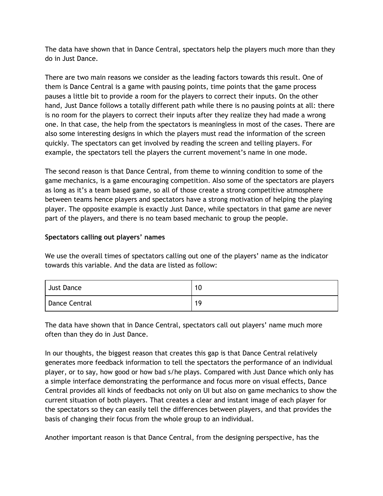The data have shown that in Dance Central, spectators help the players much more than they do in Just Dance.

There are two main reasons we consider as the leading factors towards this result. One of them is Dance Central is a game with pausing points, time points that the game process pauses a little bit to provide a room for the players to correct their inputs. On the other hand, Just Dance follows a totally different path while there is no pausing points at all: there is no room for the players to correct their inputs after they realize they had made a wrong one. In that case, the help from the spectators is meaningless in most of the cases. There are also some interesting designs in which the players must read the information of the screen quickly. The spectators can get involved by reading the screen and telling players. For example, the spectators tell the players the current movement's name in one mode.

The second reason is that Dance Central, from theme to winning condition to some of the game mechanics, is a game encouraging competition. Also some of the spectators are players as long as it's a team based game, so all of those create a strong competitive atmosphere between teams hence players and spectators have a strong motivation of helping the playing player. The opposite example is exactly Just Dance, while spectators in that game are never part of the players, and there is no team based mechanic to group the people.

#### **Spectators calling out players' names**

We use the overall times of spectators calling out one of the players' name as the indicator towards this variable. And the data are listed as follow:

| Just Dance    | 10 |
|---------------|----|
| Dance Central | 19 |

The data have shown that in Dance Central, spectators call out players' name much more often than they do in Just Dance.

In our thoughts, the biggest reason that creates this gap is that Dance Central relatively generates more feedback information to tell the spectators the performance of an individual player, or to say, how good or how bad s/he plays. Compared with Just Dance which only has a simple interface demonstrating the performance and focus more on visual effects, Dance Central provides all kinds of feedbacks not only on UI but also on game mechanics to show the current situation of both players. That creates a clear and instant image of each player for the spectators so they can easily tell the differences between players, and that provides the basis of changing their focus from the whole group to an individual.

Another important reason is that Dance Central, from the designing perspective, has the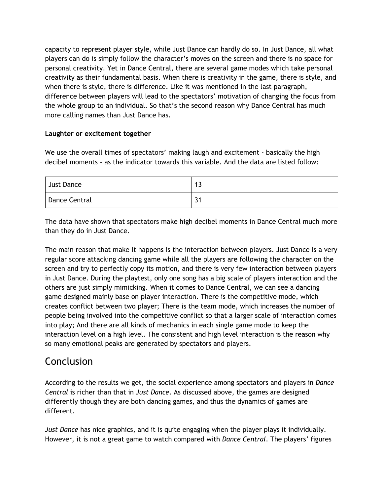capacity to represent player style, while Just Dance can hardly do so. In Just Dance, all what players can do is simply follow the character's moves on the screen and there is no space for personal creativity. Yet in Dance Central, there are several game modes which take personal creativity as their fundamental basis. When there is creativity in the game, there is style, and when there is style, there is difference. Like it was mentioned in the last paragraph, difference between players will lead to the spectators' motivation of changing the focus from the whole group to an individual. So that's the second reason why Dance Central has much more calling names than Just Dance has.

#### **Laughter or excitement together**

We use the overall times of spectators' making laugh and excitement - basically the high decibel moments - as the indicator towards this variable. And the data are listed follow:

| Just Dance    | - 12<br>IJ |
|---------------|------------|
| Dance Central | ົ່າ.<br>ر  |

The data have shown that spectators make high decibel moments in Dance Central much more than they do in Just Dance.

The main reason that make it happens is the interaction between players. Just Dance is a very regular score attacking dancing game while all the players are following the character on the screen and try to perfectly copy its motion, and there is very few interaction between players in Just Dance. During the playtest, only one song has a big scale of players interaction and the others are just simply mimicking. When it comes to Dance Central, we can see a dancing game designed mainly base on player interaction. There is the competitive mode, which creates conflict between two player; There is the team mode, which increases the number of people being involved into the competitive conflict so that a larger scale of interaction comes into play; And there are all kinds of mechanics in each single game mode to keep the interaction level on a high level. The consistent and high level interaction is the reason why so many emotional peaks are generated by spectators and players.

# **Conclusion**

According to the results we get, the social experience among spectators and players in *Dance Central* is richer than that in *Just Dance*. As discussed above, the games are designed differently though they are both dancing games, and thus the dynamics of games are different.

*Just Dance* has nice graphics, and it is quite engaging when the player plays it individually. However, it is not a great game to watch compared with *Dance Central*. The players' figures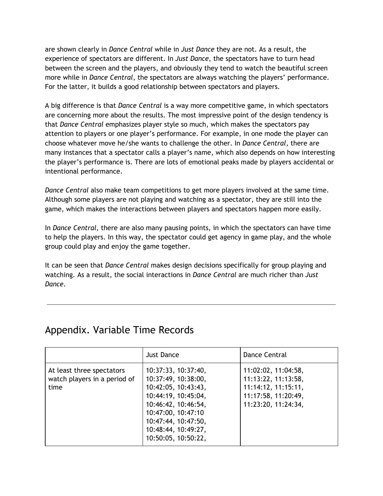are shown clearly in *Dance Central* while in *Just Dance* they are not. As a result, the experience of spectators are different. In *Just Dance*, the spectators have to turn head between the screen and the players, and obviously they tend to watch the beautiful screen more while in *Dance Central*, the spectators are always watching the players' performance. For the latter, it builds a good relationship between spectators and players.

A big difference is that *Dance Central* is a way more competitive game, in which spectators are concerning more about the results. The most impressive point of the design tendency is that *Dance Central* emphasizes player style so much, which makes the spectators pay attention to players or one player's performance. For example, in one mode the player can choose whatever move he/she wants to challenge the other. In *Dance Central*, there are many instances that a spectator calls a player's name, which also depends on how interesting the player's performance is. There are lots of emotional peaks made by players accidental or intentional performance.

*Dance Central* also make team competitions to get more players involved at the same time. Although some players are not playing and watching as a spectator, they are still into the game, which makes the interactions between players and spectators happen more easily.

In *Dance Central*, there are also many pausing points, in which the spectators can have time to help the players. In this way, the spectator could get agency in game play, and the whole group could play and enjoy the game together.

It can be seen that *Dance Central* makes design decisions specifically for group playing and watching. As a result, the social interactions in *Dance Central* are much richer than *Just Dance*.

# Appendix. Variable Time Records

|                                                                   | <b>Just Dance</b>                                                                                                                                                                                          | Dance Central                                                                                                   |
|-------------------------------------------------------------------|------------------------------------------------------------------------------------------------------------------------------------------------------------------------------------------------------------|-----------------------------------------------------------------------------------------------------------------|
| At least three spectators<br>watch players in a period of<br>time | 10:37:33, 10:37:40,<br>10:37:49, 10:38:00,<br>10:42:05, 10:43:43,<br>10:44:19, 10:45:04,<br>10:46:42, 10:46:54,<br>10:47:00, 10:47:10<br>10:47:44, 10:47:50,<br>10:48:44, 10:49:27,<br>10:50:05, 10:50:22, | 11:02:02, 11:04:58,<br>11:13:22, 11:13:58,<br>11:14:12, 11:15:11,<br>11:17:58, 11:20:49,<br>11:23:20, 11:24:34, |